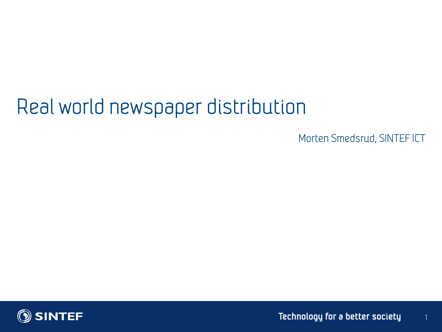# Real world newspaper distribution

Morten Smedsrud, SINTEF ICT

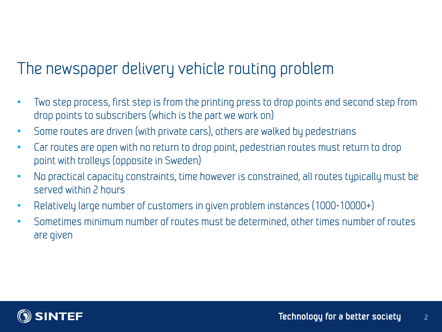## The newspaper delivery vehicle routing problem

- Two step process, first step is from the printing press to drop points and second step from drop points to subscribers (which is the part we work on)
- Some routes are driven (with private cars), others are walked by pedestrians
- Car routes are open with no return to drop point, pedestrian routes must return to drop point with trolleys (opposite in Sweden)
- No practical capacity constraints, time however is constrained, all routes typically must be served within 2 hours
- Relatively large number of customers in given problem instances (1000-10000+)
- Sometimes minimum number of routes must be determined, other times number of routes are given

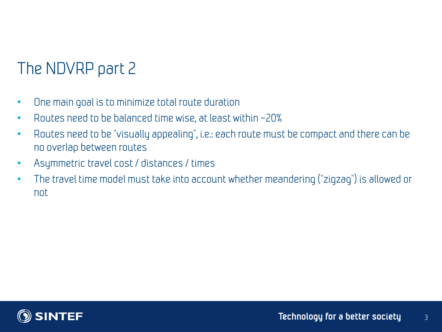# The NDVRP part 2

- One main goal is to minimize total route duration
- Routes need to be balanced time wise, at least within ~20%
- Routes need to be "visually appealing", i.e.: each route must be compact and there can be no overlap between routes
- Asymmetric travel cost / distances / times
- The travel time model must take into account whether meandering ("zigzag") is allowed or not

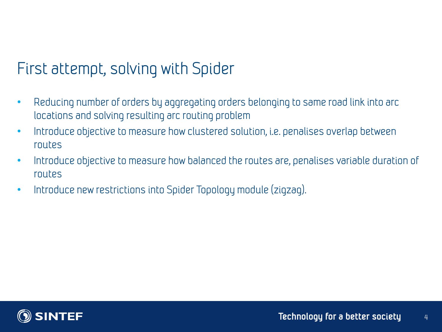## First attempt, solving with Spider

- Reducing number of orders by aggregating orders belonging to same road link into arc locations and solving resulting arc routing problem
- Introduce objective to measure how clustered solution, i.e. penalises overlap between routes
- Introduce objective to measure how balanced the routes are, penalises variable duration of routes
- Introduce new restrictions into Spider Topology module (zigzag).

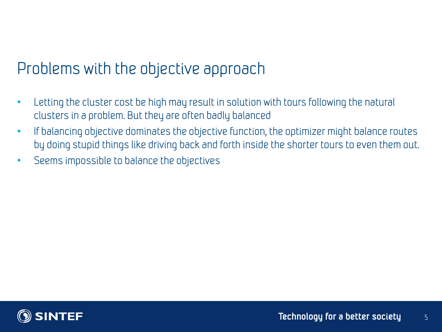#### Problems with the objective approach

- Letting the cluster cost be high may result in solution with tours following the natural clusters in a problem. But they are often badly balanced
- If balancing objective dominates the objective function, the optimizer might balance routes by doing stupid things like driving back and forth inside the shorter tours to even them out.
- Seems impossible to balance the objectives

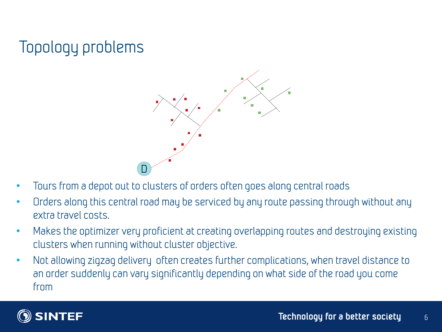# Topology problems



- Tours from a depot out to clusters of orders often goes along central roads
- Orders along this central road may be serviced by any route passing through without any extra travel costs.
- Makes the optimizer very proficient at creating overlapping routes and destroying existing clusters when running without cluster objective.
- Not allowing zigzag delivery often creates further complications, when travel distance to an order suddenly can vary significantly depending on what side of the road you come from

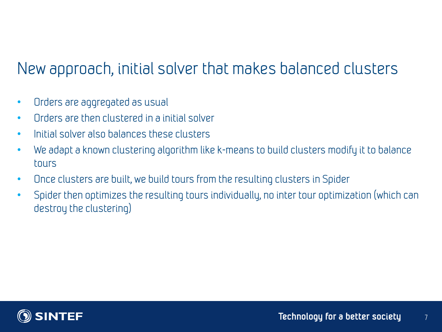## New approach, initial solver that makes balanced clusters

- Orders are aggregated as usual
- Orders are then clustered in a initial solver
- Initial solver also balances these clusters
- We adapt a known clustering algorithm like k-means to build clusters modify it to balance tours
- Once clusters are built, we build tours from the resulting clusters in Spider
- Spider then optimizes the resulting tours individually, no inter tour optimization (which can destroy the clustering)

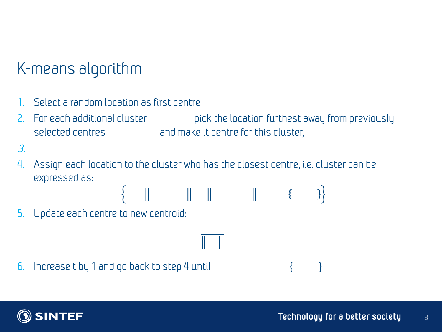## K-means algorithm

- 1. Select a random location as first centre
- 2. For each additional cluster pick the location furthest away from previously selected centres and make it centre for this cluster,

 $\{ \|\|\|\|\|\|$   $\|$   $\{ \}$ 

- 3.
- 4. Assign each location to the cluster who has the closest centre, i.e. cluster can be expressed as:
- 5. Update each centre to new centroid:

6. Increase t by 1 and go back to step 4 until



 $\mathcal{E}$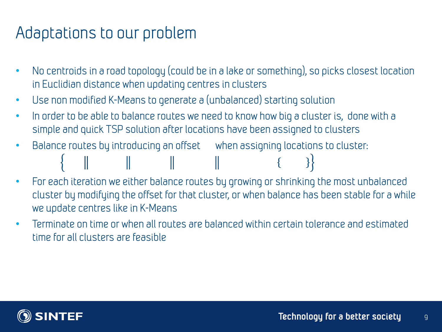#### Adaptations to our problem

- No centroids in a road topology (could be in a lake or something), so picks closest location in Euclidian distance when updating centres in clusters
- Use non modified K-Means to generate a (unbalanced) starting solution
- In order to be able to balance routes we need to know how big a cluster is, done with a simple and quick TSP solution after locations have been assigned to clusters
- Balance routes by introducing an offset when assigning locations to cluster: and the control of the control of the con-
- For each iteration we either balance routes by growing or shrinking the most unbalanced cluster by modifying the offset for that cluster, or when balance has been stable for a while we update centres like in K-Means
- Terminate on time or when all routes are balanced within certain tolerance and estimated time for all clusters are feasible

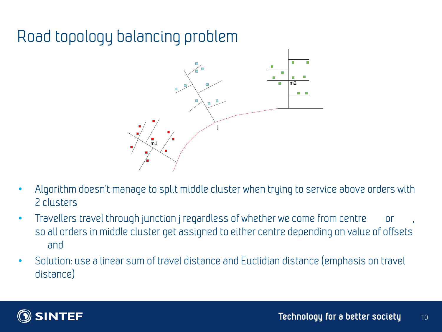# Road topology balancing problem



- Algorithm doesn't manage to split middle cluster when trying to service above orders with 2 clusters
- Travellers travel through junction j regardless of whether we come from centre or so all orders in middle cluster get assigned to either centre depending on value of offsets and
- Solution: use a linear sum of travel distance and Euclidian distance (emphasis on travel distance)

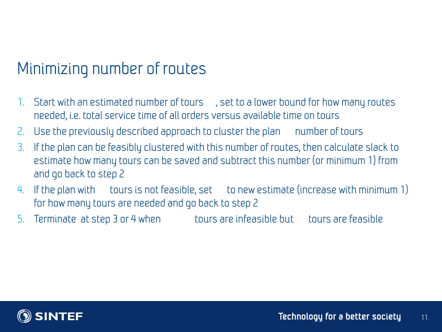### Minimizing number of routes

- 1. Start with an estimated number of tours , set to a lower bound for how many routes needed, i.e. total service time of all orders versus available time on tours
- 2. Use the previously described approach to cluster the plan number of tours
- 3. If the plan can be feasibly clustered with this number of routes, then calculate slack to estimate how many tours can be saved and subtract this number (or minimum 1) from and go back to step 2
- 4. If the plan with tours is not feasible, set to new estimate (increase with minimum 1) for how many tours are needed and go back to step 2
- 5. Terminate at step 3 or 4 when tours are infeasible but tours are feasible